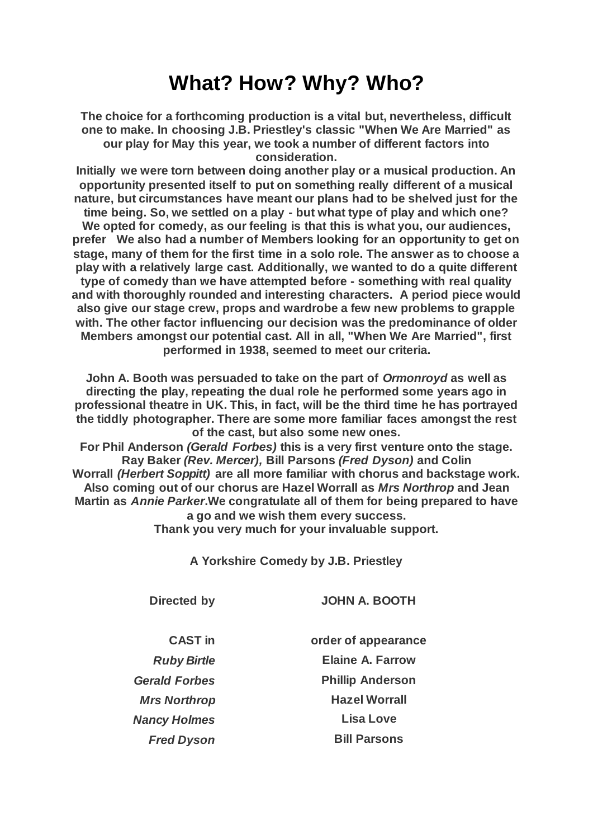## **What? How? Why? Who?**

**The choice for a forthcoming production is a vital but, nevertheless, difficult one to make. In choosing J.B. Priestley's classic "When We Are Married" as our play for May this year, we took a number of different factors into consideration.**

**Initially we were torn between doing another play or a musical production. An opportunity presented itself to put on something really different of a musical nature, but circumstances have meant our plans had to be shelved just for the time being. So, we settled on a play - but what type of play and which one? We opted for comedy, as our feeling is that this is what you, our audiences, prefer We also had a number of Members looking for an opportunity to get on stage, many of them for the first time in a solo role. The answer as to choose a play with a relatively large cast. Additionally, we wanted to do a quite different type of comedy than we have attempted before - something with real quality and with thoroughly rounded and interesting characters. A period piece would also give our stage crew, props and wardrobe a few new problems to grapple with. The other factor influencing our decision was the predominance of older Members amongst our potential cast. All in all, "When We Are Married", first performed in 1938, seemed to meet our criteria.**

**John A. Booth was persuaded to take on the part of** *Ormonroyd* **as well as directing the play, repeating the dual role he performed some years ago in professional theatre in UK. This, in fact, will be the third time he has portrayed the tiddly photographer. There are some more familiar faces amongst the rest of the cast, but also some new ones.**

**For Phil Anderson** *(Gerald Forbes)* **this is a very first venture onto the stage. Ray Baker** *(Rev. Mercer),* **Bill Parsons** *(Fred Dyson)* **and Colin Worrall** *(Herbert Soppitt)* **are all more familiar with chorus and backstage work. Also coming out of our chorus are Hazel Worrall as** *Mrs Northrop* **and Jean Martin as** *Annie Parker***.We congratulate all of them for being prepared to have a go and we wish them every success. Thank you very much for your invaluable support.**

**A Yorkshire Comedy by J.B. Priestley**

**Directed by JOHN A. BOOTH**

**CAST in order of appearance** *Ruby Birtle* **Elaine A. Farrow** *Gerald Forbes* **Phillip Anderson Mrs Northrop Hazel Worrall** *Fred Dyson* **Bill Parsons**

*Nancy Holmes* **Lisa Love**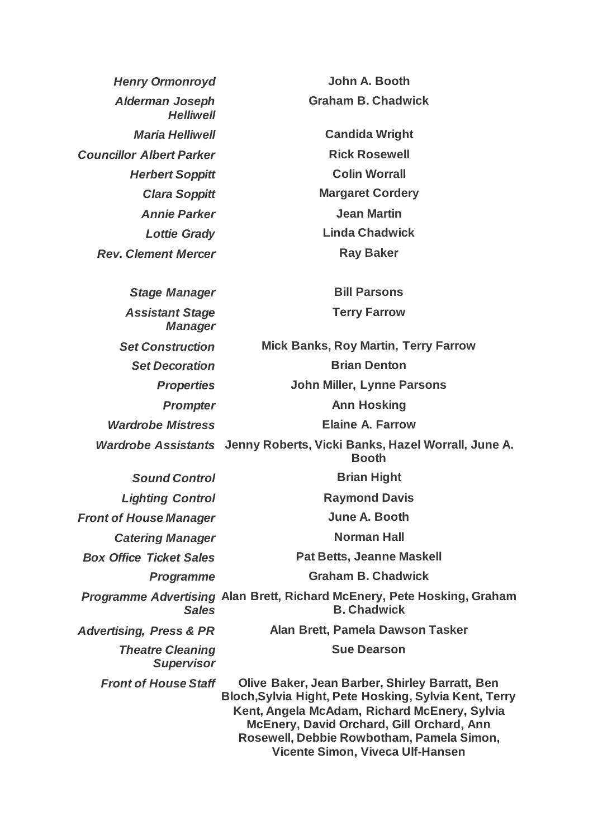*Henry Ormonroyd* **John A. Booth** *Alderman Joseph Helliwell* **Graham B. Chadwick** *Maria Helliwell* **Candida Wright Councillor Albert Parker Rick Rosewell Herbert Soppitt Colin Worrall** *Clara Soppitt* **Margaret Cordery** *Annie Parker* **Jean Martin** *Lottie Grady* **Linda Chadwick Rev. Clement Mercer Ray Baker** *Stage Manager* **Bill Parsons** *Assistant Stage Manager* **Terry Farrow** *Set Construction* **Mick Banks, Roy Martin, Terry Farrow Set Decoration Brian Denton** *Properties* **John Miller, Lynne Parsons** *Prompter* **Ann Hosking** *Wardrobe Mistress* **Elaine A. Farrow** *Wardrobe Assistants* **Jenny Roberts, Vicki Banks, Hazel Worrall, June A. Booth Sound Control Brian Hight** *Lighting Control* **Raymond Davis Front of House Manager June A. Booth Catering Manager Norman Hall** *Box Office Ticket Sales* **Pat Betts, Jeanne Maskell** *Programme* **Graham B. Chadwick** *Programme Advertising*  **Alan Brett, Richard McEnery, Pete Hosking, Graham**  *Sales* **B. Chadwick** *Advertising, Press & PR* **Alan Brett, Pamela Dawson Tasker** *Theatre Cleaning Supervisor* **Sue Dearson** *Front of House Staff* **Olive Baker, Jean Barber, Shirley Barratt, Ben Bloch,Sylvia Hight, Pete Hosking, Sylvia Kent, Terry Kent, Angela McAdam, Richard McEnery, Sylvia McEnery, David Orchard, Gill Orchard, Ann Rosewell, Debbie Rowbotham, Pamela Simon, Vicente Simon, Viveca Ulf-Hansen**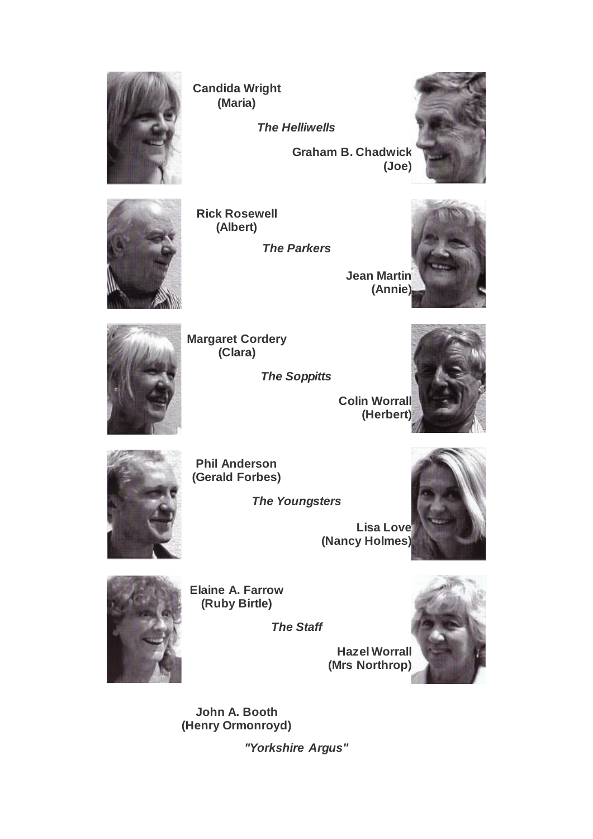

**Candida Wright (Maria)**

*The Helliwells*

**Graham B. Chadwick (Joe)**





**Rick Rosewell (Albert)**

*The Parkers*

**Jean Martin (Annie)**





**Margaret Cordery (Clara)**

*The Soppitts*



**Phil Anderson (Gerald Forbes)**

*The Youngsters*

**Lisa Love (Nancy Holmes)**





**Elaine A. Farrow (Ruby Birtle)**

*The Staff*

**Hazel Worrall (Mrs Northrop)**



**John A. Booth (Henry Ormonroyd)**

*"Yorkshire Argus"*